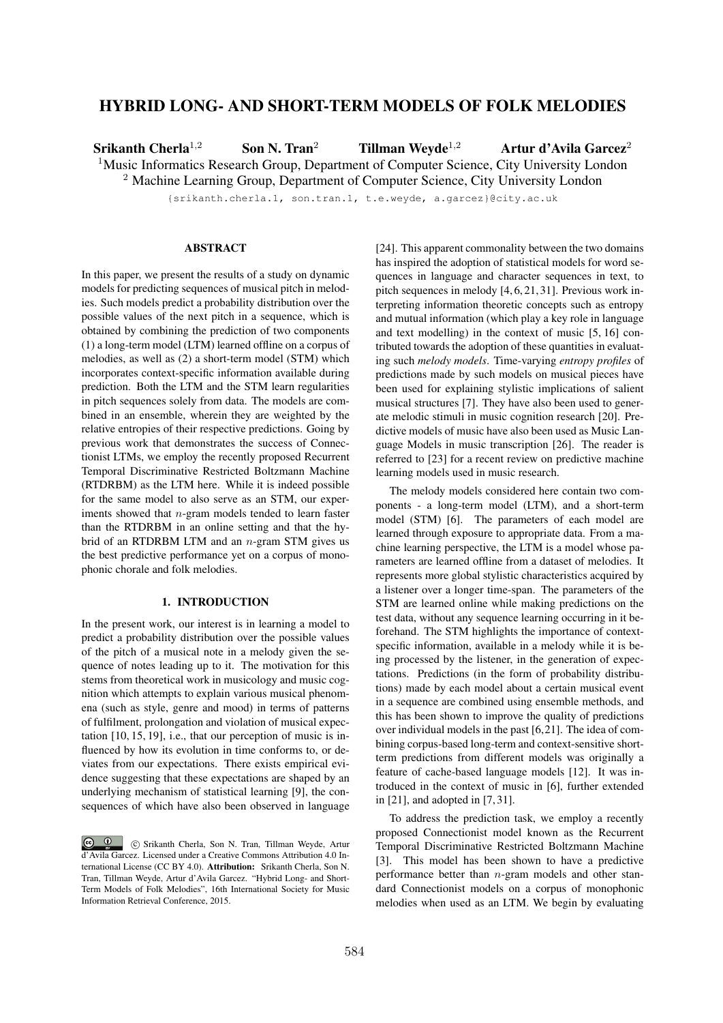# HYBRID LONG- AND SHORT-TERM MODELS OF FOLK MELODIES

Srikanth Cherla<sup>1,2</sup> Son N. Tran<sup>2</sup> Tillman Weyde<sup>1,2</sup> Artur d'Avila Garcez<sup>2</sup>

<sup>1</sup>Music Informatics Research Group, Department of Computer Science, City University London

<sup>2</sup> Machine Learning Group, Department of Computer Science, City University London

{srikanth.cherla.1, son.tran.1, t.e.weyde, a.garcez}@city.ac.uk

## **ABSTRACT**

In this paper, we present the results of a study on dynamic models for predicting sequences of musical pitch in melodies. Such models predict a probability distribution over the possible values of the next pitch in a sequence, which is obtained by combining the prediction of two components (1) a long-term model (LTM) learned offline on a corpus of melodies, as well as (2) a short-term model (STM) which incorporates context-specific information available during prediction. Both the LTM and the STM learn regularities in pitch sequences solely from data. The models are combined in an ensemble, wherein they are weighted by the relative entropies of their respective predictions. Going by previous work that demonstrates the success of Connectionist LTMs, we employ the recently proposed Recurrent Temporal Discriminative Restricted Boltzmann Machine (RTDRBM) as the LTM here. While it is indeed possible for the same model to also serve as an STM, our experiments showed that *n*-gram models tended to learn faster than the RTDRBM in an online setting and that the hybrid of an RTDRBM LTM and an *n*-gram STM gives us the best predictive performance yet on a corpus of monophonic chorale and folk melodies.

## 1. INTRODUCTION

In the present work, our interest is in learning a model to predict a probability distribution over the possible values of the pitch of a musical note in a melody given the sequence of notes leading up to it. The motivation for this stems from theoretical work in musicology and music cognition which attempts to explain various musical phenomena (such as style, genre and mood) in terms of patterns of fulfilment, prolongation and violation of musical expectation [10, 15, 19], i.e., that our perception of music is influenced by how its evolution in time conforms to, or deviates from our expectations. There exists empirical evidence suggesting that these expectations are shaped by an underlying mechanism of statistical learning [9], the consequences of which have also been observed in language [24]. This apparent commonality between the two domains has inspired the adoption of statistical models for word sequences in language and character sequences in text, to pitch sequences in melody [4, 6, 21, 31]. Previous work interpreting information theoretic concepts such as entropy and mutual information (which play a key role in language and text modelling) in the context of music [5, 16] contributed towards the adoption of these quantities in evaluating such *melody models*. Time-varying *entropy profiles* of predictions made by such models on musical pieces have been used for explaining stylistic implications of salient musical structures [7]. They have also been used to generate melodic stimuli in music cognition research [20]. Predictive models of music have also been used as Music Language Models in music transcription [26]. The reader is referred to [23] for a recent review on predictive machine learning models used in music research.

The melody models considered here contain two components - a long-term model (LTM), and a short-term model (STM) [6]. The parameters of each model are learned through exposure to appropriate data. From a machine learning perspective, the LTM is a model whose parameters are learned offline from a dataset of melodies. It represents more global stylistic characteristics acquired by a listener over a longer time-span. The parameters of the STM are learned online while making predictions on the test data, without any sequence learning occurring in it beforehand. The STM highlights the importance of contextspecific information, available in a melody while it is being processed by the listener, in the generation of expectations. Predictions (in the form of probability distributions) made by each model about a certain musical event in a sequence are combined using ensemble methods, and this has been shown to improve the quality of predictions over individual models in the past [6,21]. The idea of combining corpus-based long-term and context-sensitive shortterm predictions from different models was originally a feature of cache-based language models [12]. It was introduced in the context of music in [6], further extended in [21], and adopted in [7, 31].

To address the prediction task, we employ a recently proposed Connectionist model known as the Recurrent Temporal Discriminative Restricted Boltzmann Machine [3]. This model has been shown to have a predictive performance better than *n*-gram models and other standard Connectionist models on a corpus of monophonic melodies when used as an LTM. We begin by evaluating

 $\bigcirc$   $\bigcirc$ c Srikanth Cherla, Son N. Tran, Tillman Weyde, Artur d'Avila Garcez. Licensed under a Creative Commons Attribution 4.0 International License (CC BY 4.0). Attribution: Srikanth Cherla, Son N. Tran, Tillman Weyde, Artur d'Avila Garcez. "Hybrid Long- and Short-Term Models of Folk Melodies", 16th International Society for Music Information Retrieval Conference, 2015.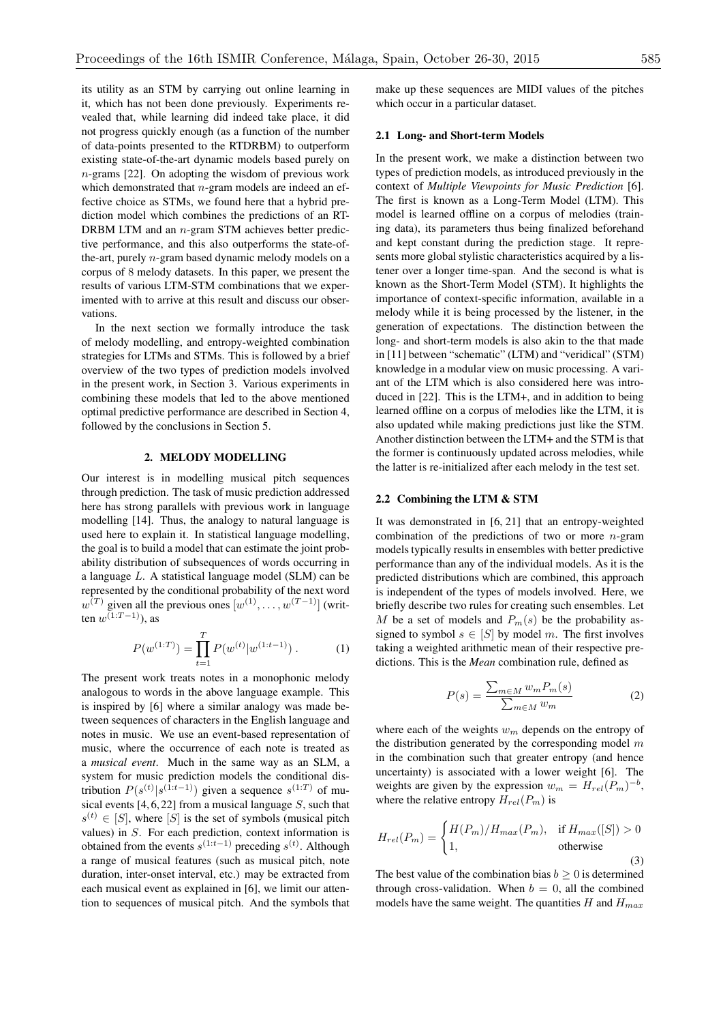its utility as an STM by carrying out online learning in it, which has not been done previously. Experiments revealed that, while learning did indeed take place, it did not progress quickly enough (as a function of the number of data-points presented to the RTDRBM) to outperform existing state-of-the-art dynamic models based purely on *n*-grams [22]. On adopting the wisdom of previous work which demonstrated that *n*-gram models are indeed an effective choice as STMs, we found here that a hybrid prediction model which combines the predictions of an RT-DRBM LTM and an *n*-gram STM achieves better predictive performance, and this also outperforms the state-ofthe-art, purely *n*-gram based dynamic melody models on a corpus of 8 melody datasets. In this paper, we present the results of various LTM-STM combinations that we experimented with to arrive at this result and discuss our observations.

In the next section we formally introduce the task of melody modelling, and entropy-weighted combination strategies for LTMs and STMs. This is followed by a brief overview of the two types of prediction models involved in the present work, in Section 3. Various experiments in combining these models that led to the above mentioned optimal predictive performance are described in Section 4, followed by the conclusions in Section 5.

## 2. MELODY MODELLING

Our interest is in modelling musical pitch sequences through prediction. The task of music prediction addressed here has strong parallels with previous work in language modelling [14]. Thus, the analogy to natural language is used here to explain it. In statistical language modelling, the goal is to build a model that can estimate the joint probability distribution of subsequences of words occurring in a language *L*. A statistical language model (SLM) can be represented by the conditional probability of the next word  $w^{(T)}$  given all the previous ones  $[w^{(1)}, \ldots, w^{(T-1)}]$  (written  $w^{(1:T-1)}$ ), as

$$
P(w^{(1:T)}) = \prod_{t=1}^{T} P(w^{(t)}|w^{(1:t-1)}) . \tag{1}
$$

The present work treats notes in a monophonic melody analogous to words in the above language example. This is inspired by [6] where a similar analogy was made between sequences of characters in the English language and notes in music. We use an event-based representation of music, where the occurrence of each note is treated as a *musical event*. Much in the same way as an SLM, a system for music prediction models the conditional distribution  $P(s^{(t)} | s^{(1:t-1)})$  given a sequence  $s^{(1:T)}$  of musical events [4, 6, 22] from a musical language *S*, such that  $s^{(t)} \in [S]$ , where  $[S]$  is the set of symbols (musical pitch values) in *S*. For each prediction, context information is obtained from the events  $s^{(1:t-1)}$  preceding  $s^{(t)}$ . Although a range of musical features (such as musical pitch, note duration, inter-onset interval, etc.) may be extracted from each musical event as explained in [6], we limit our attention to sequences of musical pitch. And the symbols that

make up these sequences are MIDI values of the pitches which occur in a particular dataset.

#### 2.1 Long- and Short-term Models

In the present work, we make a distinction between two types of prediction models, as introduced previously in the context of *Multiple Viewpoints for Music Prediction* [6]. The first is known as a Long-Term Model (LTM). This model is learned offline on a corpus of melodies (training data), its parameters thus being finalized beforehand and kept constant during the prediction stage. It represents more global stylistic characteristics acquired by a listener over a longer time-span. And the second is what is known as the Short-Term Model (STM). It highlights the importance of context-specific information, available in a melody while it is being processed by the listener, in the generation of expectations. The distinction between the long- and short-term models is also akin to the that made in [11] between "schematic" (LTM) and "veridical" (STM) knowledge in a modular view on music processing. A variant of the LTM which is also considered here was introduced in [22]. This is the LTM+, and in addition to being learned offline on a corpus of melodies like the LTM, it is also updated while making predictions just like the STM. Another distinction between the LTM+ and the STM is that the former is continuously updated across melodies, while the latter is re-initialized after each melody in the test set.

## 2.2 Combining the LTM & STM

It was demonstrated in [6, 21] that an entropy-weighted combination of the predictions of two or more *n*-gram models typically results in ensembles with better predictive performance than any of the individual models. As it is the predicted distributions which are combined, this approach is independent of the types of models involved. Here, we briefly describe two rules for creating such ensembles. Let *M* be a set of models and  $P_m(s)$  be the probability assigned to symbol  $s \in [S]$  by model *m*. The first involves taking a weighted arithmetic mean of their respective predictions. This is the *Mean* combination rule, defined as

$$
P(s) = \frac{\sum_{m \in M} w_m P_m(s)}{\sum_{m \in M} w_m} \tag{2}
$$

where each of the weights *w<sup>m</sup>* depends on the entropy of the distribution generated by the corresponding model *m* in the combination such that greater entropy (and hence uncertainty) is associated with a lower weight [6]. The weights are given by the expression  $w_m = H_{rel}(P_m)^{-b}$ , where the relative entropy  $H_{rel}(P_m)$  is

$$
H_{rel}(P_m) = \begin{cases} H(P_m)/H_{max}(P_m), & \text{if } H_{max}([S]) > 0\\ 1, & \text{otherwise} \end{cases}
$$
(3)

The best value of the combination bias  $b \geq 0$  is determined through cross-validation. When  $b = 0$ , all the combined models have the same weight. The quantities *H* and *Hmax*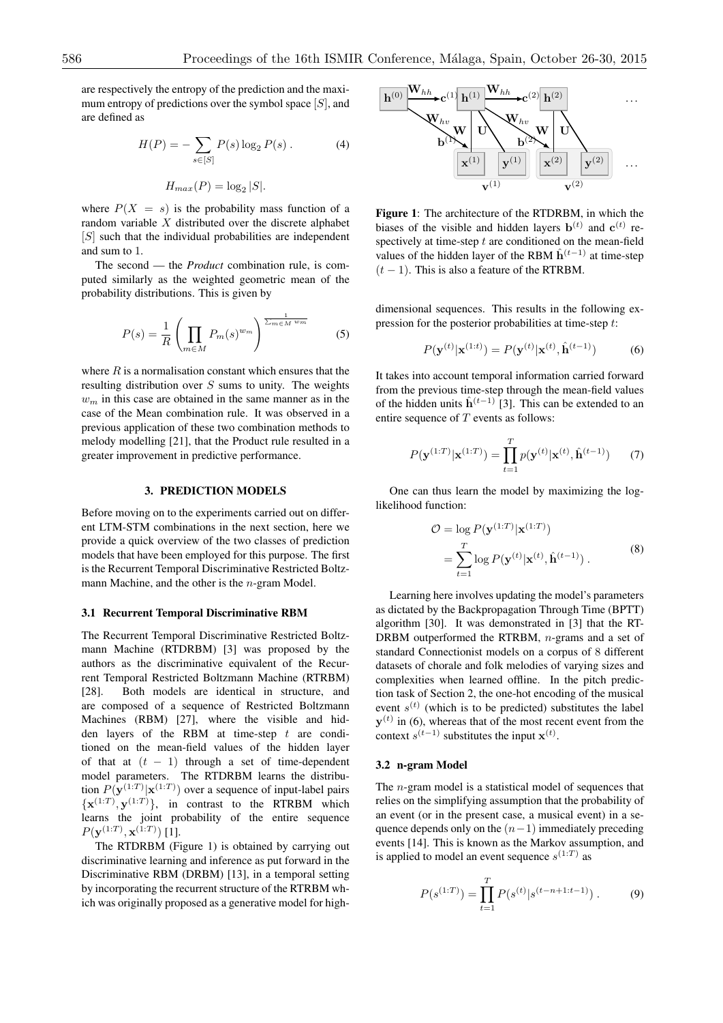are respectively the entropy of the prediction and the maximum entropy of predictions over the symbol space [*S*], and are defined as

$$
H(P) = -\sum_{s \in [S]} P(s) \log_2 P(s) . \tag{4}
$$

$$
H_{max}(P) = \log_2 |S|.
$$

where  $P(X = s)$  is the probability mass function of a random variable *X* distributed over the discrete alphabet [*S*] such that the individual probabilities are independent and sum to 1.

The second — the *Product* combination rule, is computed similarly as the weighted geometric mean of the probability distributions. This is given by

$$
P(s) = \frac{1}{R} \left( \prod_{m \in M} P_m(s)^{w_m} \right)^{\frac{1}{\sum_{m \in M} w_m}}
$$
(5)

where *R* is a normalisation constant which ensures that the resulting distribution over *S* sums to unity. The weights  $w<sub>m</sub>$  in this case are obtained in the same manner as in the case of the Mean combination rule. It was observed in a previous application of these two combination methods to melody modelling [21], that the Product rule resulted in a greater improvement in predictive performance.

#### 3. PREDICTION MODELS

Before moving on to the experiments carried out on different LTM-STM combinations in the next section, here we provide a quick overview of the two classes of prediction models that have been employed for this purpose. The first is the Recurrent Temporal Discriminative Restricted Boltzmann Machine, and the other is the *n*-gram Model.

#### 3.1 Recurrent Temporal Discriminative RBM

The Recurrent Temporal Discriminative Restricted Boltzmann Machine (RTDRBM) [3] was proposed by the authors as the discriminative equivalent of the Recurrent Temporal Restricted Boltzmann Machine (RTRBM) [28]. Both models are identical in structure, and are composed of a sequence of Restricted Boltzmann Machines (RBM) [27], where the visible and hidden layers of the RBM at time-step *t* are conditioned on the mean-field values of the hidden layer of that at  $(t - 1)$  through a set of time-dependent model parameters. The RTDRBM learns the distribution  $P(\mathbf{y}^{(1:T)}|\mathbf{x}^{(1:T)})$  over a sequence of input-label pairs  ${x^{(1:T)}, y^{(1:T)}}$ , in contrast to the RTRBM which learns the joint probability of the entire sequence  $P(\mathbf{y}^{(1:T)}, \mathbf{x}^{(1:T)})$  [1].

The RTDRBM (Figure 1) is obtained by carrying out discriminative learning and inference as put forward in the Discriminative RBM (DRBM) [13], in a temporal setting by incorporating the recurrent structure of the RTRBM which was originally proposed as a generative model for high-



Figure 1: The architecture of the RTDRBM, in which the biases of the visible and hidden layers  $\mathbf{b}^{(t)}$  and  $\mathbf{c}^{(t)}$  respectively at time-step *t* are conditioned on the mean-field values of the hidden layer of the RBM  $\hat{h}^{(t-1)}$  at time-step  $(t - 1)$ . This is also a feature of the RTRBM.

dimensional sequences. This results in the following expression for the posterior probabilities at time-step *t*:

$$
P(\mathbf{y}^{(t)}|\mathbf{x}^{(1:t)}) = P(\mathbf{y}^{(t)}|\mathbf{x}^{(t)}, \hat{\mathbf{h}}^{(t-1)})
$$
(6)

It takes into account temporal information carried forward from the previous time-step through the mean-field values of the hidden units  $\hat{h}^{(t-1)}$  [3]. This can be extended to an entire sequence of *T* events as follows:

$$
P(\mathbf{y}^{(1:T)}|\mathbf{x}^{(1:T)}) = \prod_{t=1}^{T} p(\mathbf{y}^{(t)}|\mathbf{x}^{(t)}, \hat{\mathbf{h}}^{(t-1)})
$$
(7)

One can thus learn the model by maximizing the loglikelihood function:

$$
\mathcal{O} = \log P(\mathbf{y}^{(1:T)}|\mathbf{x}^{(1:T)})
$$

$$
= \sum_{t=1}^{T} \log P(\mathbf{y}^{(t)}|\mathbf{x}^{(t)}, \hat{\mathbf{h}}^{(t-1)}).
$$
(8)

Learning here involves updating the model's parameters as dictated by the Backpropagation Through Time (BPTT) algorithm [30]. It was demonstrated in [3] that the RT-DRBM outperformed the RTRBM, *n*-grams and a set of standard Connectionist models on a corpus of 8 different datasets of chorale and folk melodies of varying sizes and complexities when learned offline. In the pitch prediction task of Section 2, the one-hot encoding of the musical event  $s^{(t)}$  (which is to be predicted) substitutes the label  $y^{(t)}$  in (6), whereas that of the most recent event from the context  $s^{(t-1)}$  substitutes the input  $\mathbf{x}^{(t)}$ .

#### 3.2 n-gram Model

The *n*-gram model is a statistical model of sequences that relies on the simplifying assumption that the probability of an event (or in the present case, a musical event) in a sequence depends only on the  $(n-1)$  immediately preceding events [14]. This is known as the Markov assumption, and is applied to model an event sequence  $s^{(1:T)}$  as

$$
P(s^{(1:T)}) = \prod_{t=1}^{T} P(s^{(t)} | s^{(t-n+1:t-1)}).
$$
 (9)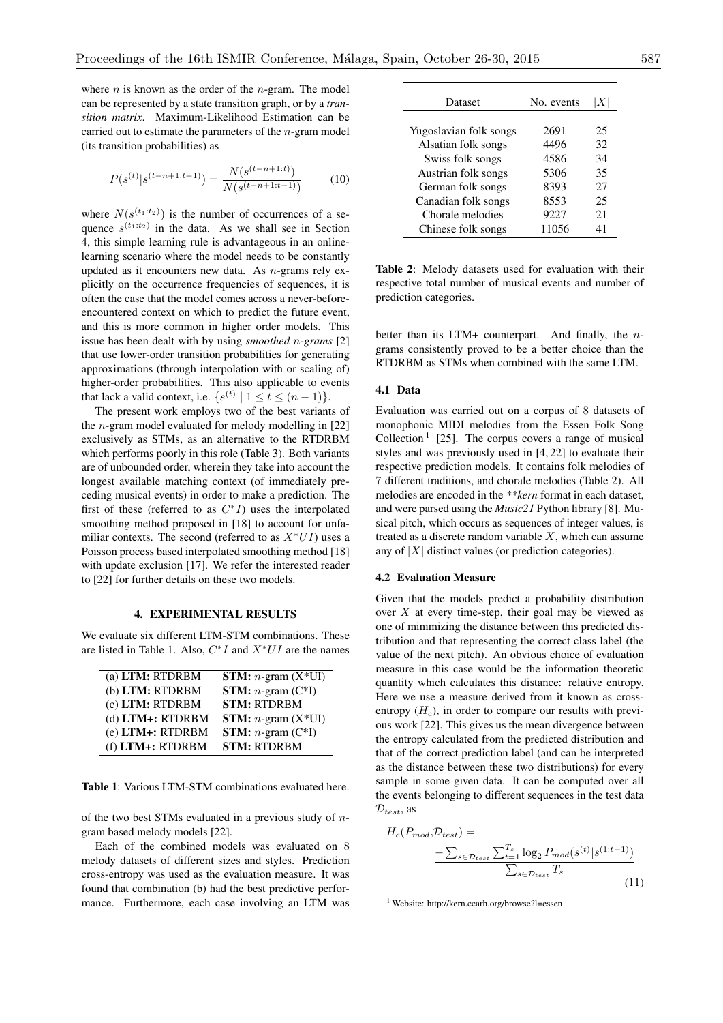where *n* is known as the order of the *n*-gram. The model can be represented by a state transition graph, or by a *transition matrix*. Maximum-Likelihood Estimation can be carried out to estimate the parameters of the *n*-gram model (its transition probabilities) as

$$
P(s^{(t)}|s^{(t-n+1:t-1)}) = \frac{N(s^{(t-n+1:t)})}{N(s^{(t-n+1:t-1)})}
$$
(10)

where  $N(s^{(t_1:t_2)})$  is the number of occurrences of a sequence  $s^{(t_1:t_2)}$  in the data. As we shall see in Section 4, this simple learning rule is advantageous in an onlinelearning scenario where the model needs to be constantly updated as it encounters new data. As *n*-grams rely explicitly on the occurrence frequencies of sequences, it is often the case that the model comes across a never-beforeencountered context on which to predict the future event, and this is more common in higher order models. This issue has been dealt with by using *smoothed n-grams* [2] that use lower-order transition probabilities for generating approximations (through interpolation with or scaling of) higher-order probabilities. This also applicable to events that lack a valid context, i.e.  $\{s^{(t)} \mid 1 \le t \le (n-1)\}.$ 

The present work employs two of the best variants of the *n*-gram model evaluated for melody modelling in [22] exclusively as STMs, as an alternative to the RTDRBM which performs poorly in this role (Table 3). Both variants are of unbounded order, wherein they take into account the longest available matching context (of immediately preceding musical events) in order to make a prediction. The first of these (referred to as  $C^*I$ ) uses the interpolated smoothing method proposed in [18] to account for unfamiliar contexts. The second (referred to as  $X^*UI$ ) uses a Poisson process based interpolated smoothing method [18] with update exclusion [17]. We refer the interested reader to [22] for further details on these two models.

#### 4. EXPERIMENTAL RESULTS

We evaluate six different LTM-STM combinations. These are listed in Table 1. Also,  $C^*I$  and  $X^*UI$  are the names

| (a) LTM: RTDRBM        | <b>STM:</b> <i>n</i> -gram $(X^*U)$ |
|------------------------|-------------------------------------|
| (b) LTM: RTDRBM        | <b>STM:</b> $n$ -gram $(C^*I)$      |
|                        |                                     |
| (c) LTM: RTDRBM        | <b>STM: RTDRBM</b>                  |
| (d) LTM+: RTDRBM       | <b>STM:</b> $n$ -gram $(X^*U)$      |
| $(e)$ LTM $+$ : RTDRBM | <b>STM:</b> $n$ -gram $(C^*I)$      |
| (f) LTM+: RTDRBM       | <b>STM: RTDRBM</b>                  |

Table 1: Various LTM-STM combinations evaluated here.

of the two best STMs evaluated in a previous study of *n*gram based melody models [22].

Each of the combined models was evaluated on 8 melody datasets of different sizes and styles. Prediction cross-entropy was used as the evaluation measure. It was found that combination (b) had the best predictive performance. Furthermore, each case involving an LTM was

| Dataset                | No. events | X  |
|------------------------|------------|----|
|                        |            |    |
| Yugoslavian folk songs | 2691       | 25 |
| Alsatian folk songs    | 4496       | 32 |
| Swiss folk songs       | 4586       | 34 |
| Austrian folk songs    | 5306       | 35 |
| German folk songs      | 8393       | 27 |
| Canadian folk songs    | 8553       | 25 |
| Chorale melodies       | 9227       | 21 |
| Chinese folk songs     | 11056      | 41 |

Table 2: Melody datasets used for evaluation with their respective total number of musical events and number of prediction categories.

better than its LTM+ counterpart. And finally, the *n*grams consistently proved to be a better choice than the RTDRBM as STMs when combined with the same LTM.

## 4.1 Data

Evaluation was carried out on a corpus of 8 datasets of monophonic MIDI melodies from the Essen Folk Song Collection<sup>1</sup> [25]. The corpus covers a range of musical styles and was previously used in [4, 22] to evaluate their respective prediction models. It contains folk melodies of 7 different traditions, and chorale melodies (Table 2). All melodies are encoded in the *\*\*kern* format in each dataset, and were parsed using the *Music21* Python library [8]. Musical pitch, which occurs as sequences of integer values, is treated as a discrete random variable *X*, which can assume any of  $|X|$  distinct values (or prediction categories).

## 4.2 Evaluation Measure

Given that the models predict a probability distribution over *X* at every time-step, their goal may be viewed as one of minimizing the distance between this predicted distribution and that representing the correct class label (the value of the next pitch). An obvious choice of evaluation measure in this case would be the information theoretic quantity which calculates this distance: relative entropy. Here we use a measure derived from it known as crossentropy  $(H_c)$ , in order to compare our results with previous work [22]. This gives us the mean divergence between the entropy calculated from the predicted distribution and that of the correct prediction label (and can be interpreted as the distance between these two distributions) for every sample in some given data. It can be computed over all the events belonging to different sequences in the test data *Dtest*, as

$$
H_c(P_{mod}, \mathcal{D}_{test}) = \frac{-\sum_{s \in \mathcal{D}_{test}} \sum_{t=1}^{T_s} \log_2 P_{mod}(s^{(t)} | s^{(1:t-1)})}{\sum_{s \in \mathcal{D}_{test}} T_s}
$$
(11)

<sup>1</sup> Website: http://kern.ccarh.org/browse?l=essen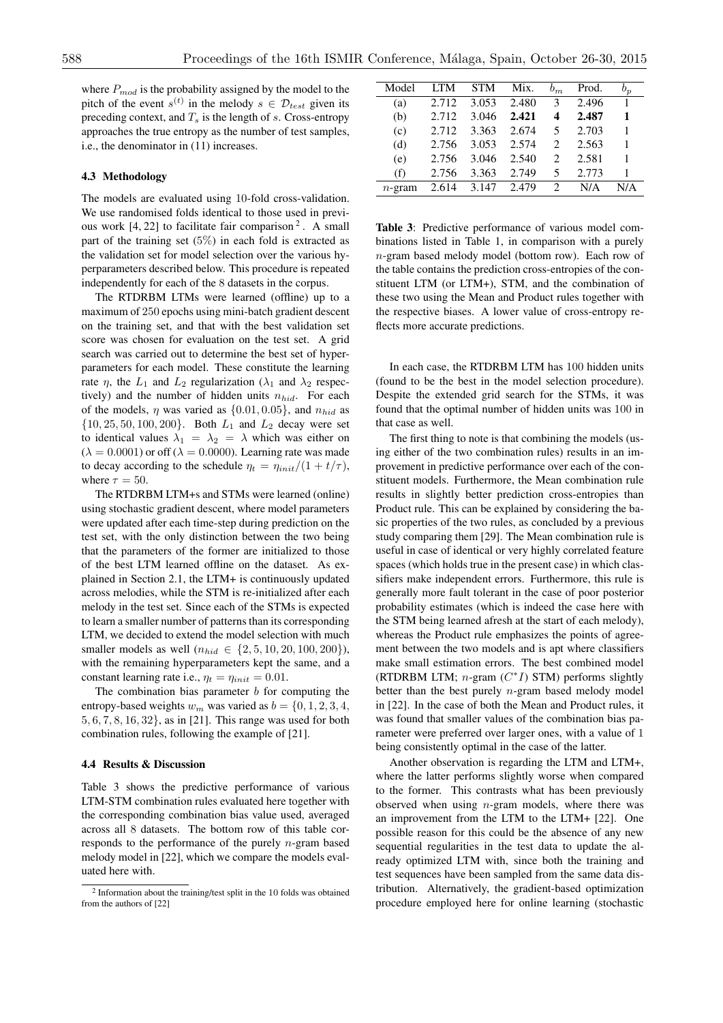where *Pmod* is the probability assigned by the model to the pitch of the event  $s^{(t)}$  in the melody  $s \in \mathcal{D}_{test}$  given its preceding context, and  $T_s$  is the length of *s*. Cross-entropy approaches the true entropy as the number of test samples, i.e., the denominator in (11) increases.

#### 4.3 Methodology

The models are evaluated using 10-fold cross-validation. We use randomised folds identical to those used in previous work  $[4, 22]$  to facilitate fair comparison<sup>2</sup>. A small part of the training set  $(5\%)$  in each fold is extracted as the validation set for model selection over the various hyperparameters described below. This procedure is repeated independently for each of the 8 datasets in the corpus.

The RTDRBM LTMs were learned (offline) up to a maximum of 250 epochs using mini-batch gradient descent on the training set, and that with the best validation set score was chosen for evaluation on the test set. A grid search was carried out to determine the best set of hyperparameters for each model. These constitute the learning rate  $\eta$ , the  $L_1$  and  $L_2$  regularization ( $\lambda_1$  and  $\lambda_2$  respectively) and the number of hidden units *nhid*. For each of the models,  $\eta$  was varied as  $\{0.01, 0.05\}$ , and  $n_{hid}$  as *{*10*,* 25*,* 50*,* 100*,* 200*}*. Both *L*<sup>1</sup> and *L*<sup>2</sup> decay were set to identical values  $\lambda_1 = \lambda_2 = \lambda$  which was either on  $(\lambda = 0.0001)$  or off ( $\lambda = 0.0000$ ). Learning rate was made to decay according to the schedule  $\eta_t = \eta_{init}/(1 + t/\tau)$ , where  $\tau = 50$ .

The RTDRBM LTM+s and STMs were learned (online) using stochastic gradient descent, where model parameters were updated after each time-step during prediction on the test set, with the only distinction between the two being that the parameters of the former are initialized to those of the best LTM learned offline on the dataset. As explained in Section 2.1, the LTM+ is continuously updated across melodies, while the STM is re-initialized after each melody in the test set. Since each of the STMs is expected to learn a smaller number of patterns than its corresponding LTM, we decided to extend the model selection with much smaller models as well  $(n_{hid} \in \{2, 5, 10, 20, 100, 200\})$ , with the remaining hyperparameters kept the same, and a constant learning rate i.e.,  $\eta_t = \eta_{init} = 0.01$ .

The combination bias parameter *b* for computing the entropy-based weights  $w_m$  was varied as  $b = \{0, 1, 2, 3, 4,$ 5*,* 6*,* 7*,* 8*,* 16*,* 32*}*, as in [21]. This range was used for both combination rules, following the example of [21].

## 4.4 Results & Discussion

Table 3 shows the predictive performance of various LTM-STM combination rules evaluated here together with the corresponding combination bias value used, averaged across all 8 datasets. The bottom row of this table corresponds to the performance of the purely *n*-gram based melody model in [22], which we compare the models evaluated here with.

| Model     | <b>LTM</b> | <b>STM</b> | Mix.  | $b_m$                         | Prod. | $b_n$ |
|-----------|------------|------------|-------|-------------------------------|-------|-------|
| (a)       | 2.712      | 3.053      | 2.480 | $\mathcal{F}$                 | 2.496 | 1     |
| (b)       | 2.712      | 3.046      | 2.421 | 4                             | 2.487 | 1     |
| (c)       | 2.712      | 3.363      | 2.674 | 5                             | 2.703 | 1     |
| (d)       | 2.756      | 3.053      | 2.574 | $\mathfrak{D}_{\mathfrak{p}}$ | 2.563 | 1     |
| (e)       | 2.756      | 3.046      | 2.540 | $\mathcal{D}_{\mathcal{L}}$   | 2.581 | 1     |
| (f)       | 2.756      | 3.363      | 2.749 | 5                             | 2.773 | 1     |
| $n$ -gram | 2.614      | 3.147      | 2.479 | 2                             | N/A   | N/A   |

Table 3: Predictive performance of various model combinations listed in Table 1, in comparison with a purely *n*-gram based melody model (bottom row). Each row of the table contains the prediction cross-entropies of the constituent LTM (or LTM+), STM, and the combination of these two using the Mean and Product rules together with the respective biases. A lower value of cross-entropy reflects more accurate predictions.

In each case, the RTDRBM LTM has 100 hidden units (found to be the best in the model selection procedure). Despite the extended grid search for the STMs, it was found that the optimal number of hidden units was 100 in that case as well.

The first thing to note is that combining the models (using either of the two combination rules) results in an improvement in predictive performance over each of the constituent models. Furthermore, the Mean combination rule results in slightly better prediction cross-entropies than Product rule. This can be explained by considering the basic properties of the two rules, as concluded by a previous study comparing them [29]. The Mean combination rule is useful in case of identical or very highly correlated feature spaces (which holds true in the present case) in which classifiers make independent errors. Furthermore, this rule is generally more fault tolerant in the case of poor posterior probability estimates (which is indeed the case here with the STM being learned afresh at the start of each melody), whereas the Product rule emphasizes the points of agreement between the two models and is apt where classifiers make small estimation errors. The best combined model (RTDRBM LTM;  $n$ -gram  $(C^*I)$  STM) performs slightly better than the best purely *n*-gram based melody model in [22]. In the case of both the Mean and Product rules, it was found that smaller values of the combination bias parameter were preferred over larger ones, with a value of 1 being consistently optimal in the case of the latter.

Another observation is regarding the LTM and LTM+, where the latter performs slightly worse when compared to the former. This contrasts what has been previously observed when using *n*-gram models, where there was an improvement from the LTM to the LTM+ [22]. One possible reason for this could be the absence of any new sequential regularities in the test data to update the already optimized LTM with, since both the training and test sequences have been sampled from the same data distribution. Alternatively, the gradient-based optimization procedure employed here for online learning (stochastic

<sup>2</sup> Information about the training/test split in the 10 folds was obtained from the authors of [22]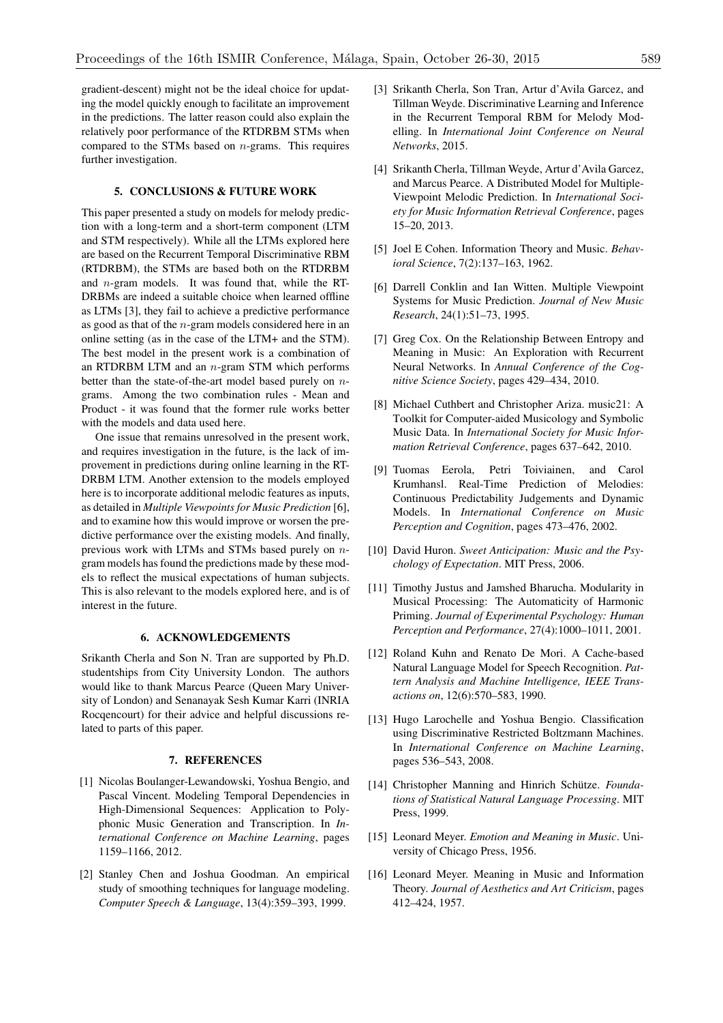gradient-descent) might not be the ideal choice for updating the model quickly enough to facilitate an improvement in the predictions. The latter reason could also explain the relatively poor performance of the RTDRBM STMs when compared to the STMs based on *n*-grams. This requires further investigation.

## 5. CONCLUSIONS & FUTURE WORK

This paper presented a study on models for melody prediction with a long-term and a short-term component (LTM and STM respectively). While all the LTMs explored here are based on the Recurrent Temporal Discriminative RBM (RTDRBM), the STMs are based both on the RTDRBM and *n*-gram models. It was found that, while the RT-DRBMs are indeed a suitable choice when learned offline as LTMs [3], they fail to achieve a predictive performance as good as that of the *n*-gram models considered here in an online setting (as in the case of the LTM+ and the STM). The best model in the present work is a combination of an RTDRBM LTM and an *n*-gram STM which performs better than the state-of-the-art model based purely on *n*grams. Among the two combination rules - Mean and Product - it was found that the former rule works better with the models and data used here.

One issue that remains unresolved in the present work, and requires investigation in the future, is the lack of improvement in predictions during online learning in the RT-DRBM LTM. Another extension to the models employed here is to incorporate additional melodic features as inputs, as detailed in *Multiple Viewpoints for Music Prediction* [6], and to examine how this would improve or worsen the predictive performance over the existing models. And finally, previous work with LTMs and STMs based purely on *n*gram models has found the predictions made by these models to reflect the musical expectations of human subjects. This is also relevant to the models explored here, and is of interest in the future.

## 6. ACKNOWLEDGEMENTS

Srikanth Cherla and Son N. Tran are supported by Ph.D. studentships from City University London. The authors would like to thank Marcus Pearce (Queen Mary University of London) and Senanayak Sesh Kumar Karri (INRIA Rocqencourt) for their advice and helpful discussions related to parts of this paper.

## 7. REFERENCES

- [1] Nicolas Boulanger-Lewandowski, Yoshua Bengio, and Pascal Vincent. Modeling Temporal Dependencies in High-Dimensional Sequences: Application to Polyphonic Music Generation and Transcription. In *International Conference on Machine Learning*, pages 1159–1166, 2012.
- [2] Stanley Chen and Joshua Goodman. An empirical study of smoothing techniques for language modeling. *Computer Speech & Language*, 13(4):359–393, 1999.
- [3] Srikanth Cherla, Son Tran, Artur d'Avila Garcez, and Tillman Weyde. Discriminative Learning and Inference in the Recurrent Temporal RBM for Melody Modelling. In *International Joint Conference on Neural Networks*, 2015.
- [4] Srikanth Cherla, Tillman Weyde, Artur d'Avila Garcez, and Marcus Pearce. A Distributed Model for Multiple-Viewpoint Melodic Prediction. In *International Society for Music Information Retrieval Conference*, pages 15–20, 2013.
- [5] Joel E Cohen. Information Theory and Music. *Behavioral Science*, 7(2):137–163, 1962.
- [6] Darrell Conklin and Ian Witten. Multiple Viewpoint Systems for Music Prediction. *Journal of New Music Research*, 24(1):51–73, 1995.
- [7] Greg Cox. On the Relationship Between Entropy and Meaning in Music: An Exploration with Recurrent Neural Networks. In *Annual Conference of the Cognitive Science Society*, pages 429–434, 2010.
- [8] Michael Cuthbert and Christopher Ariza. music21: A Toolkit for Computer-aided Musicology and Symbolic Music Data. In *International Society for Music Information Retrieval Conference*, pages 637–642, 2010.
- [9] Tuomas Eerola, Petri Toiviainen, and Carol Krumhansl. Real-Time Prediction of Melodies: Continuous Predictability Judgements and Dynamic Models. In *International Conference on Music Perception and Cognition*, pages 473–476, 2002.
- [10] David Huron. *Sweet Anticipation: Music and the Psychology of Expectation*. MIT Press, 2006.
- [11] Timothy Justus and Jamshed Bharucha. Modularity in Musical Processing: The Automaticity of Harmonic Priming. *Journal of Experimental Psychology: Human Perception and Performance*, 27(4):1000–1011, 2001.
- [12] Roland Kuhn and Renato De Mori. A Cache-based Natural Language Model for Speech Recognition. *Pattern Analysis and Machine Intelligence, IEEE Transactions on*, 12(6):570–583, 1990.
- [13] Hugo Larochelle and Yoshua Bengio. Classification using Discriminative Restricted Boltzmann Machines. In *International Conference on Machine Learning*, pages 536–543, 2008.
- [14] Christopher Manning and Hinrich Schütze. *Foundations of Statistical Natural Language Processing*. MIT Press, 1999.
- [15] Leonard Meyer. *Emotion and Meaning in Music*. University of Chicago Press, 1956.
- [16] Leonard Meyer. Meaning in Music and Information Theory. *Journal of Aesthetics and Art Criticism*, pages 412–424, 1957.